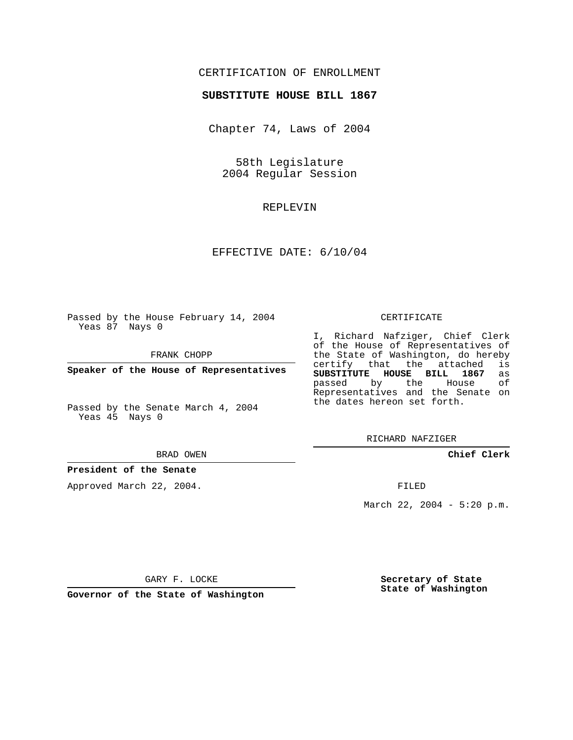## CERTIFICATION OF ENROLLMENT

### **SUBSTITUTE HOUSE BILL 1867**

Chapter 74, Laws of 2004

58th Legislature 2004 Regular Session

### REPLEVIN

## EFFECTIVE DATE: 6/10/04

Passed by the House February 14, 2004 Yeas 87 Nays 0

FRANK CHOPP

**Speaker of the House of Representatives**

Passed by the Senate March 4, 2004 Yeas 45 Nays 0

#### BRAD OWEN

### **President of the Senate**

Approved March 22, 2004.

### CERTIFICATE

I, Richard Nafziger, Chief Clerk of the House of Representatives of the State of Washington, do hereby<br>certify that the attached is certify that the attached **SUBSTITUTE HOUSE BILL 1867** as passed by the Representatives and the Senate on the dates hereon set forth.

RICHARD NAFZIGER

### **Chief Clerk**

FILED

March 22, 2004 - 5:20 p.m.

GARY F. LOCKE

**Governor of the State of Washington**

**Secretary of State State of Washington**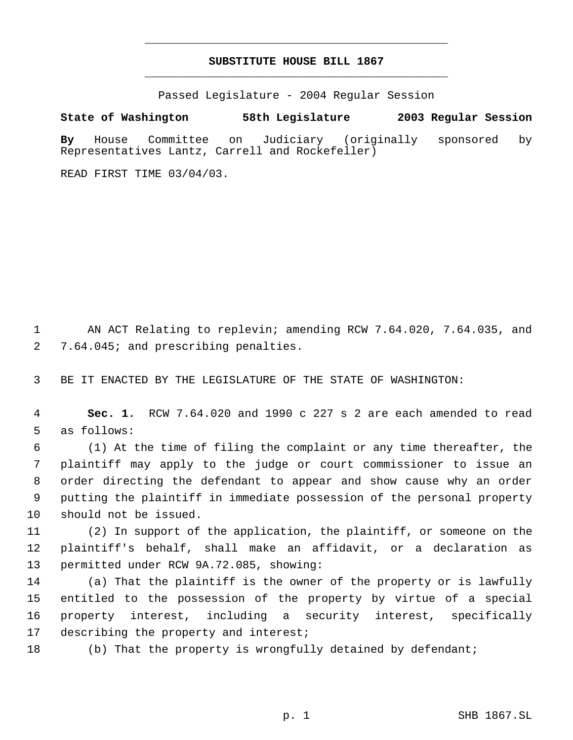# **SUBSTITUTE HOUSE BILL 1867** \_\_\_\_\_\_\_\_\_\_\_\_\_\_\_\_\_\_\_\_\_\_\_\_\_\_\_\_\_\_\_\_\_\_\_\_\_\_\_\_\_\_\_\_\_

\_\_\_\_\_\_\_\_\_\_\_\_\_\_\_\_\_\_\_\_\_\_\_\_\_\_\_\_\_\_\_\_\_\_\_\_\_\_\_\_\_\_\_\_\_

Passed Legislature - 2004 Regular Session

**State of Washington 58th Legislature 2003 Regular Session**

**By** House Committee on Judiciary (originally sponsored by Representatives Lantz, Carrell and Rockefeller)

READ FIRST TIME 03/04/03.

 AN ACT Relating to replevin; amending RCW 7.64.020, 7.64.035, and 7.64.045; and prescribing penalties.

BE IT ENACTED BY THE LEGISLATURE OF THE STATE OF WASHINGTON:

 **Sec. 1.** RCW 7.64.020 and 1990 c 227 s 2 are each amended to read as follows:

 (1) At the time of filing the complaint or any time thereafter, the plaintiff may apply to the judge or court commissioner to issue an order directing the defendant to appear and show cause why an order putting the plaintiff in immediate possession of the personal property should not be issued.

 (2) In support of the application, the plaintiff, or someone on the plaintiff's behalf, shall make an affidavit, or a declaration as permitted under RCW 9A.72.085, showing:

 (a) That the plaintiff is the owner of the property or is lawfully entitled to the possession of the property by virtue of a special property interest, including a security interest, specifically 17 describing the property and interest;

(b) That the property is wrongfully detained by defendant;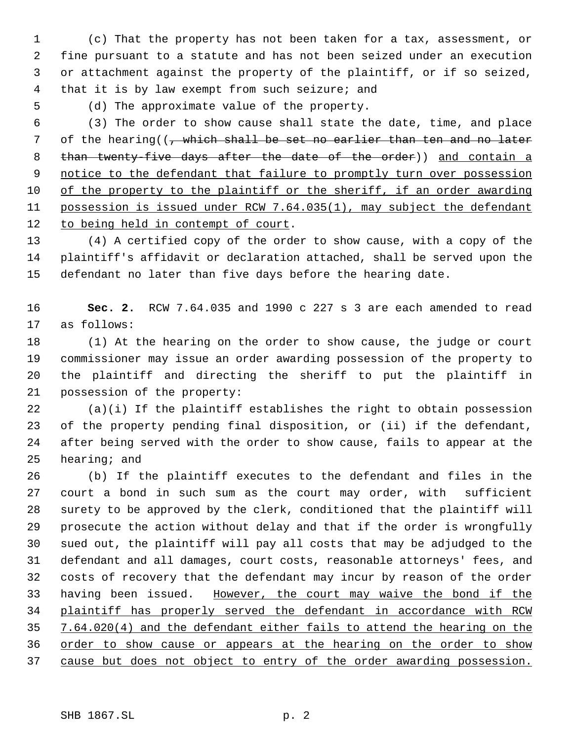(c) That the property has not been taken for a tax, assessment, or fine pursuant to a statute and has not been seized under an execution or attachment against the property of the plaintiff, or if so seized, that it is by law exempt from such seizure; and

(d) The approximate value of the property.

 (3) The order to show cause shall state the date, time, and place 7 of the hearing((, which shall be set no earlier than ten and no later 8 than twenty-five days after the date of the order)) and contain a 9 notice to the defendant that failure to promptly turn over possession of the property to the plaintiff or the sheriff, if an order awarding possession is issued under RCW 7.64.035(1), may subject the defendant 12 to being held in contempt of court.

 (4) A certified copy of the order to show cause, with a copy of the plaintiff's affidavit or declaration attached, shall be served upon the defendant no later than five days before the hearing date.

 **Sec. 2.** RCW 7.64.035 and 1990 c 227 s 3 are each amended to read as follows:

 (1) At the hearing on the order to show cause, the judge or court commissioner may issue an order awarding possession of the property to the plaintiff and directing the sheriff to put the plaintiff in possession of the property:

 (a)(i) If the plaintiff establishes the right to obtain possession of the property pending final disposition, or (ii) if the defendant, after being served with the order to show cause, fails to appear at the hearing; and

 (b) If the plaintiff executes to the defendant and files in the court a bond in such sum as the court may order, with sufficient surety to be approved by the clerk, conditioned that the plaintiff will prosecute the action without delay and that if the order is wrongfully sued out, the plaintiff will pay all costs that may be adjudged to the defendant and all damages, court costs, reasonable attorneys' fees, and costs of recovery that the defendant may incur by reason of the order having been issued. However, the court may waive the bond if the plaintiff has properly served the defendant in accordance with RCW 7.64.020(4) and the defendant either fails to attend the hearing on the 36 order to show cause or appears at the hearing on the order to show cause but does not object to entry of the order awarding possession.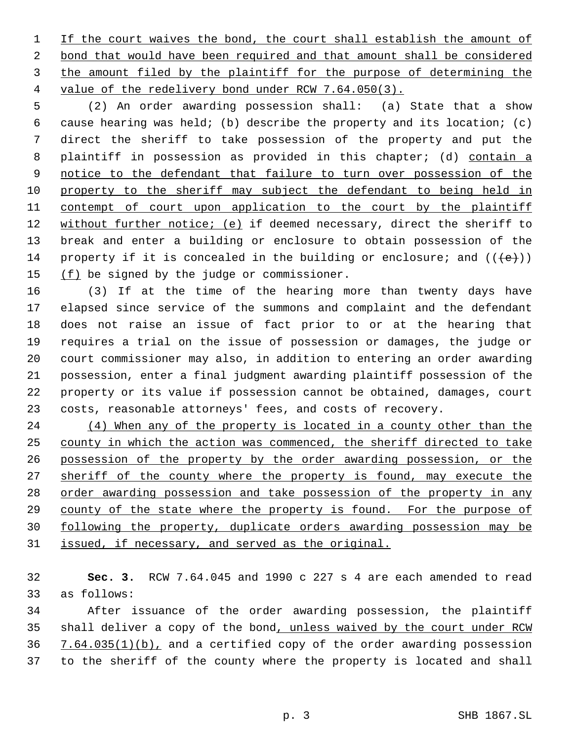1 If the court waives the bond, the court shall establish the amount of bond that would have been required and that amount shall be considered 3 the amount filed by the plaintiff for the purpose of determining the value of the redelivery bond under RCW 7.64.050(3).

 (2) An order awarding possession shall: (a) State that a show cause hearing was held; (b) describe the property and its location; (c) direct the sheriff to take possession of the property and put the 8 plaintiff in possession as provided in this chapter; (d) contain a 9 notice to the defendant that failure to turn over possession of the property to the sheriff may subject the defendant to being held in 11 contempt of court upon application to the court by the plaintiff 12 without further notice; (e) if deemed necessary, direct the sheriff to break and enter a building or enclosure to obtain possession of the 14 property if it is concealed in the building or enclosure; and  $((\{e\}))$ 15  $(f)$  be signed by the judge or commissioner.

 (3) If at the time of the hearing more than twenty days have elapsed since service of the summons and complaint and the defendant does not raise an issue of fact prior to or at the hearing that requires a trial on the issue of possession or damages, the judge or court commissioner may also, in addition to entering an order awarding possession, enter a final judgment awarding plaintiff possession of the property or its value if possession cannot be obtained, damages, court costs, reasonable attorneys' fees, and costs of recovery.

24 (4) When any of the property is located in a county other than the 25 county in which the action was commenced, the sheriff directed to take possession of the property by the order awarding possession, or the 27 sheriff of the county where the property is found, may execute the order awarding possession and take possession of the property in any county of the state where the property is found. For the purpose of following the property, duplicate orders awarding possession may be issued, if necessary, and served as the original.

 **Sec. 3.** RCW 7.64.045 and 1990 c 227 s 4 are each amended to read as follows:

 After issuance of the order awarding possession, the plaintiff shall deliver a copy of the bond, unless waived by the court under RCW 36 7.64.035(1)(b), and a certified copy of the order awarding possession to the sheriff of the county where the property is located and shall